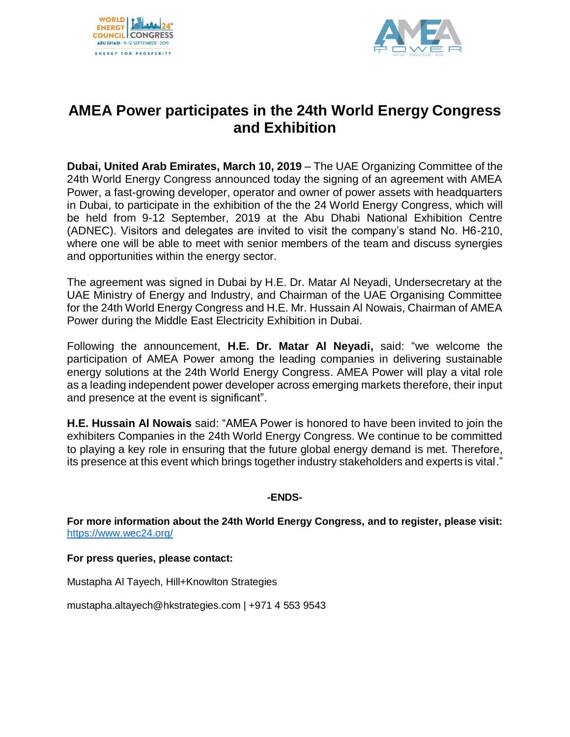



## **AMEA Power participates in the 24th World Energy Congress and Exhibition**

**Dubai, United Arab Emirates, March 10, 2019** – The UAE Organizing Committee of the 24th World Energy Congress announced today the signing of an agreement with AMEA Power, a fast-growing developer, operator and owner of power assets with headquarters in Dubai, to participate in the exhibition of the the 24 World Energy Congress, which will be held from 9-12 September, 2019 at the Abu Dhabi National Exhibition Centre (ADNEC). Visitors and delegates are invited to visit the company's stand No. H6-210, where one will be able to meet with senior members of the team and discuss synergies and opportunities within the energy sector.

The agreement was signed in Dubai by H.E. Dr. Matar Al Neyadi, Undersecretary at the UAE Ministry of Energy and Industry, and Chairman of the UAE Organising Committee for the 24th World Energy Congress and H.E. Mr. Hussain Al Nowais, Chairman of AMEA Power during the Middle East Electricity Exhibition in Dubai.

Following the announcement, **H.E. Dr. Matar Al Neyadi,** said: "we welcome the participation of AMEA Power among the leading companies in delivering sustainable energy solutions at the 24th World Energy Congress. AMEA Power will play a vital role as a leading independent power developer across emerging markets therefore, their input and presence at the event is significant".

**H.E. Hussain Al Nowais** said: "AMEA Power is honored to have been invited to join the exhibiters Companies in the 24th World Energy Congress. We continue to be committed to playing a key role in ensuring that the future global energy demand is met. Therefore, its presence at this event which brings together industry stakeholders and experts is vital."

## **-ENDS-**

**For more information about the 24th World Energy Congress, and to register, please visit:** <https://www.wec24.org/>

**For press queries, please contact:**

Mustapha Al Tayech, Hill+Knowlton Strategies

mustapha.altayech@hkstrategies.com | +971 4 553 9543